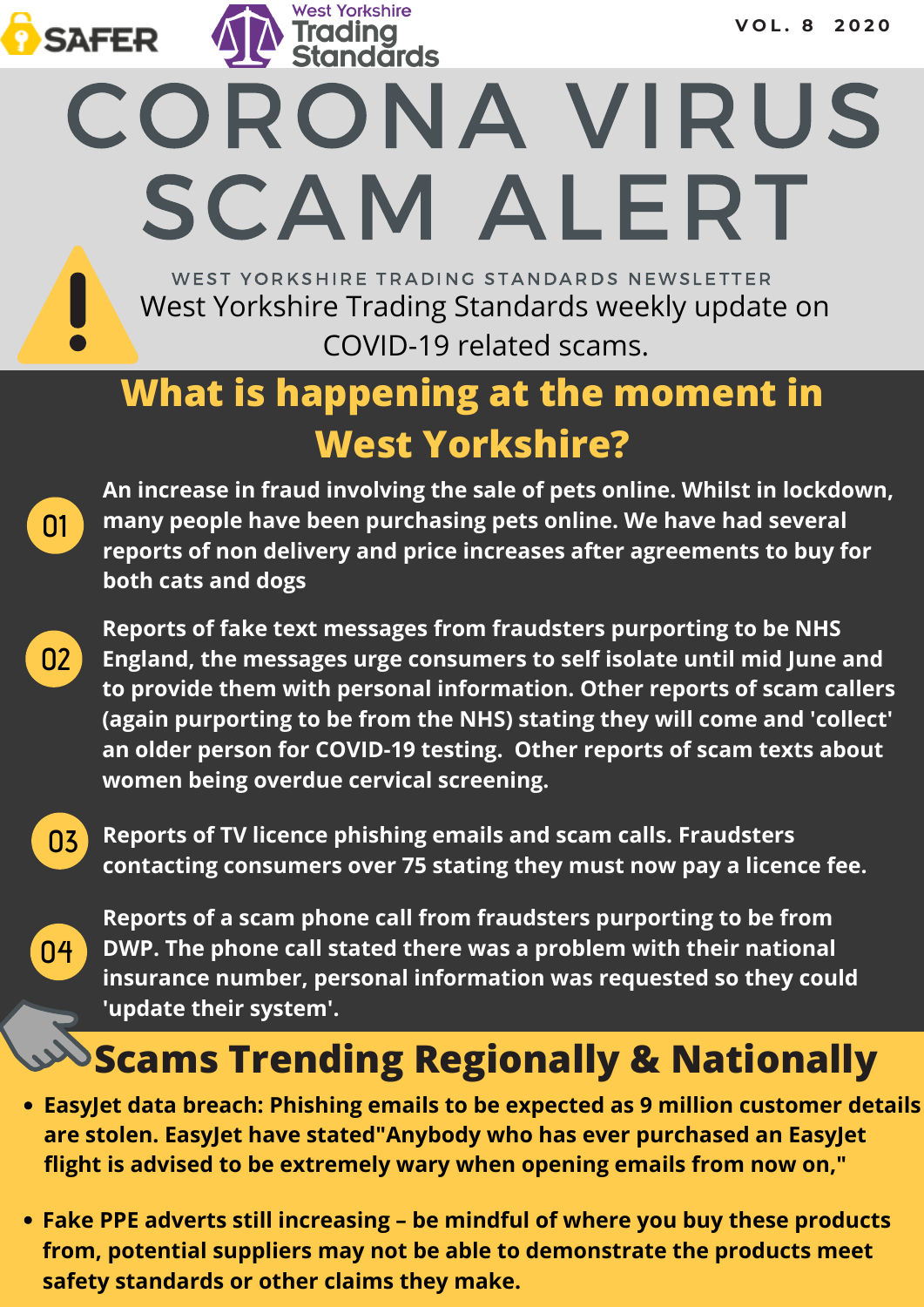WEST YORKSHIRE TRADING STANDARDS NEWSLETTER West Yorkshire Trading Standards weekly update on COVID-19 related scams.

CORONA VIRUS

SCAM ALERT

# **What is happening at the moment in West Yorkshire?**

**An increase in fraud involving the sale of pets online. Whilst in lockdown, many people have been purchasing pets online. We have had several reports of non delivery and price increases after agreements to buy for both cats and dogs**

**02 Reports of fake text messages from fraudsters purporting to be NHS England, the messages urge consumers to self isolate until mid June and to provide them with personal information. Other reports of scam callers (again purporting to be from the NHS) stating they will come and 'collect' an older person for COVID-19 testing. Other reports of scam texts about women being overdue cervical screening.**

**03**

**04**

**01**

**SAFER** 

**Reports of TV licence phishing emails and scam calls. Fraudsters contacting consumers over 75 stating they must now pay a licence fee.**

**Reports of a scam phone call from fraudsters purporting to be from DWP. The phone call stated there was a problem with their national insurance number, personal information was requested so they could 'update their system'.**

# **Scams Trending Regionally & Nationally**

- **EasyJet data breach: Phishing emails to be expected as 9 million customer details are stolen. EasyJet have stated"Anybody who has ever purchased an EasyJet flight is advised to be extremely wary when opening emails from now on,"**
- **Fake PPE adverts still increasing – be mindful of where you buy these products from, potential suppliers may not be able to demonstrate the products meet safety standards or other claims they make.**